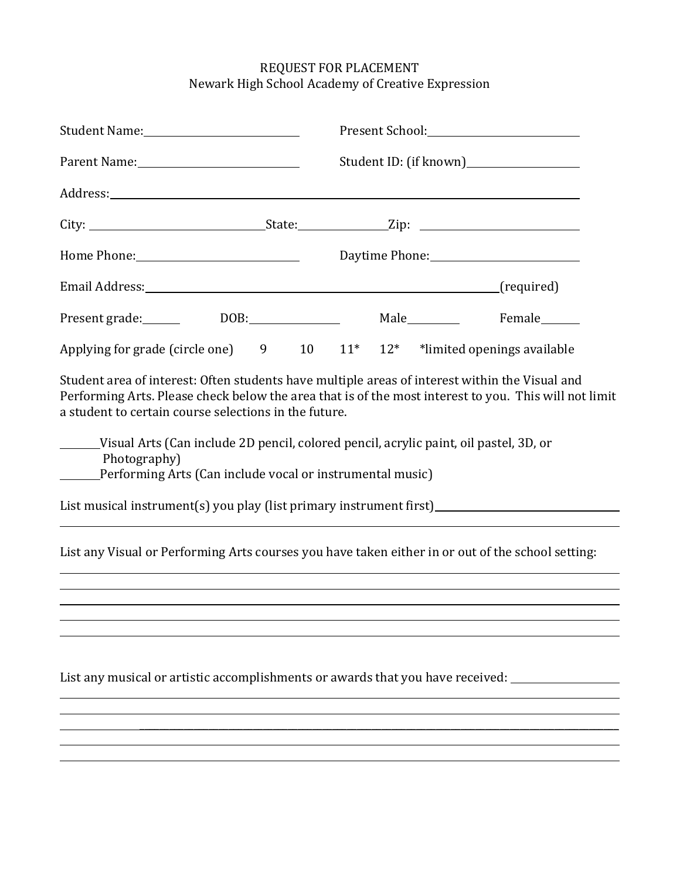## REQUEST FOR PLACEMENT Newark High School Academy of Creative Expression

| Parent Name: 1990 March 1999                                                                                                                                                                                                                                                                                                                                                                                                                |  |  |  | Student ID: (if known)___________________ |  |  |
|---------------------------------------------------------------------------------------------------------------------------------------------------------------------------------------------------------------------------------------------------------------------------------------------------------------------------------------------------------------------------------------------------------------------------------------------|--|--|--|-------------------------------------------|--|--|
|                                                                                                                                                                                                                                                                                                                                                                                                                                             |  |  |  |                                           |  |  |
|                                                                                                                                                                                                                                                                                                                                                                                                                                             |  |  |  |                                           |  |  |
|                                                                                                                                                                                                                                                                                                                                                                                                                                             |  |  |  |                                           |  |  |
|                                                                                                                                                                                                                                                                                                                                                                                                                                             |  |  |  |                                           |  |  |
| Present grade: _______ DOB: ______________ Male _______ Female _____                                                                                                                                                                                                                                                                                                                                                                        |  |  |  |                                           |  |  |
| Applying for grade (circle one) $9$ 10 $11^*$ 12 <sup>*</sup> *limited openings available                                                                                                                                                                                                                                                                                                                                                   |  |  |  |                                           |  |  |
| Student area of interest: Often students have multiple areas of interest within the Visual and<br>Performing Arts. Please check below the area that is of the most interest to you. This will not limit<br>a student to certain course selections in the future.<br>Visual Arts (Can include 2D pencil, colored pencil, acrylic paint, oil pastel, 3D, or<br>Photography)<br>_____Performing Arts (Can include vocal or instrumental music) |  |  |  |                                           |  |  |
| List any Visual or Performing Arts courses you have taken either in or out of the school setting:                                                                                                                                                                                                                                                                                                                                           |  |  |  |                                           |  |  |
|                                                                                                                                                                                                                                                                                                                                                                                                                                             |  |  |  |                                           |  |  |
|                                                                                                                                                                                                                                                                                                                                                                                                                                             |  |  |  |                                           |  |  |
| List any musical or artistic accomplishments or awards that you have received: ___                                                                                                                                                                                                                                                                                                                                                          |  |  |  |                                           |  |  |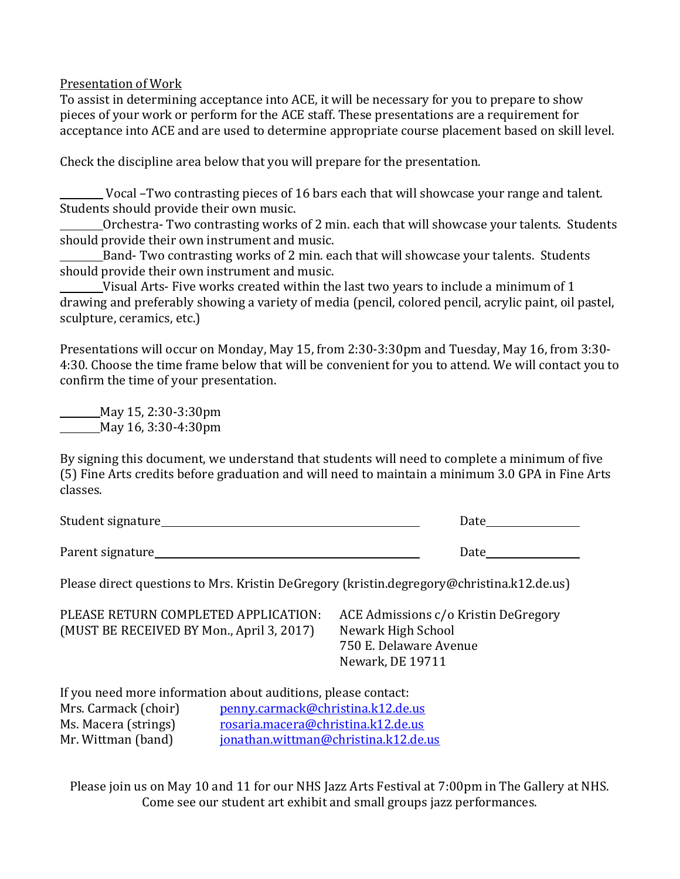Presentation of Work

To assist in determining acceptance into ACE, it will be necessary for you to prepare to show pieces of your work or perform for the ACE staff. These presentations are a requirement for acceptance into ACE and are used to determine appropriate course placement based on skill level.

Check the discipline area below that you will prepare for the presentation.

Vocal –Two contrasting pieces of 16 bars each that will showcase your range and talent. Students should provide their own music.

Orchestra- Two contrasting works of 2 min. each that will showcase your talents. Students should provide their own instrument and music.

Band- Two contrasting works of 2 min. each that will showcase your talents. Students should provide their own instrument and music.

Visual Arts- Five works created within the last two years to include a minimum of 1 drawing and preferably showing a variety of media (pencil, colored pencil, acrylic paint, oil pastel, sculpture, ceramics, etc.)

Presentations will occur on Monday, May 15, from 2:30-3:30pm and Tuesday, May 16, from 3:30- 4:30. Choose the time frame below that will be convenient for you to attend. We will contact you to confirm the time of your presentation.

May 15, 2:30-3:30pm May 16, 3:30-4:30pm

By signing this document, we understand that students will need to complete a minimum of five (5) Fine Arts credits before graduation and will need to maintain a minimum 3.0 GPA in Fine Arts classes.

| Student signature_ | Date |
|--------------------|------|
|                    |      |
| Parent signature   | Date |

Please direct questions to Mrs. Kristin DeGregory (kristin.degregory@christina.k12.de.us)

PLEASE RETURN COMPLETED APPLICATION: ACE Admissions c/o Kristin DeGregory (MUST BE RECEIVED BY Mon., April 3, 2017) Newark High School

750 E. Delaware Avenue Newark, DE 19711

If you need more information about auditions, please contact: Mrs. Carmack (choir) [penny.carmack@christina.k12.de.us](mailto:penny.carmack@christina.k12.de.us) Ms. Macera (strings) [rosaria.macera@christina.k12.de.us](mailto:Rosaria.macera@christina.k12.de.us) Mr. Wittman (band) [jonathan.wittman@christina.k12.de.us](mailto:jonathan.wittman@christina.k12.de.us)

Please join us on May 10 and 11 for our NHS Jazz Arts Festival at 7:00pm in The Gallery at NHS. Come see our student art exhibit and small groups jazz performances.